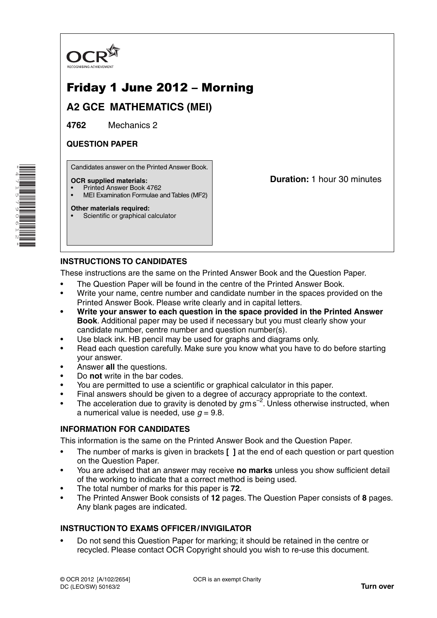

# Friday 1 June 2012 – Morning

## **A2 GCE MATHEMATICS (MEI)**

**4762** Mechanics 2

## **QUESTION PAPER**

Candidates answer on the Printed Answer Book.

#### **OCR supplied materials:**

- Printed Answer Book 4762
- MEI Examination Formulae and Tables (MF2)

#### **Other materials required:**

\*4715790612\*

**THE REAL** 

Scientific or graphical calculator

**Duration:** 1 hour 30 minutes

## **INSTRUCTIONS TO CANDIDATES**

These instructions are the same on the Printed Answer Book and the Question Paper.

- The Question Paper will be found in the centre of the Printed Answer Book.
- Write your name, centre number and candidate number in the spaces provided on the Printed Answer Book. Please write clearly and in capital letters.
- **Write your answer to each question in the space provided in the Printed Answer Book**. Additional paper may be used if necessary but you must clearly show your candidate number, centre number and question number(s).
- Use black ink. HB pencil may be used for graphs and diagrams only.
- Read each question carefully. Make sure you know what you have to do before starting your answer.
- Answer **all** the questions.
- Do **not** write in the bar codes.
- You are permitted to use a scientific or graphical calculator in this paper.
- Final answers should be given to a degree of accuracy appropriate to the context.
- The acceleration due to gravity is denoted by  $g$ m s<sup>-2</sup>. Unless otherwise instructed, when a numerical value is needed, use  $q = 9.8$ .

## **INFORMATION FOR CANDIDATES**

This information is the same on the Printed Answer Book and the Question Paper.

- The number of marks is given in brackets **[ ]** at the end of each question or part question on the Question Paper.
- You are advised that an answer may receive **no marks** unless you show sufficient detail of the working to indicate that a correct method is being used.
- The total number of marks for this paper is **72**.
- The Printed Answer Book consists of **12** pages. The Question Paper consists of **8** pages. Any blank pages are indicated.

## **INSTRUCTION TO EXAMS OFFICER / INVIGILATOR**

• Do not send this Question Paper for marking; it should be retained in the centre or recycled. Please contact OCR Copyright should you wish to re-use this document.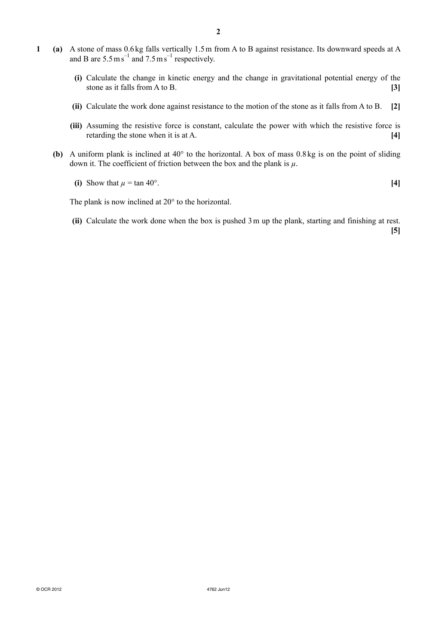- **1 (a)** A stone of mass 0.6 kg falls vertically 1.5 m from A to B against resistance. Its downward speeds at A and B are  $5.5 \text{ ms}^{-1}$  and  $7.5 \text{ ms}^{-1}$  respectively.
	- **(i)** Calculate the change in kinetic energy and the change in gravitational potential energy of the stone as it falls from A to B. **[3]**
	- **(ii)** Calculate the work done against resistance to the motion of the stone as it falls from A to B. **[2]**
	- **(iii)** Assuming the resistive force is constant, calculate the power with which the resistive force is retarding the stone when it is at A. **[4]**
	- **(b)** A uniform plank is inclined at 40° to the horizontal. A box of mass 0.8 kg is on the point of sliding down it. The coefficient of friction between the box and the plank is *μ*.
		- **(i)** Show that  $\mu = \tan 40^{\circ}$ . **[4]**

The plank is now inclined at 20° to the horizontal.

 **(ii)** Calculate the work done when the box is pushed 3 m up the plank, starting and finishing at rest. **[5]**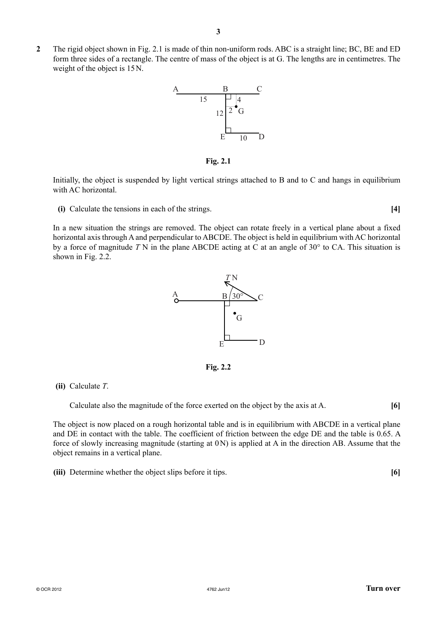**2** The rigid object shown in Fig. 2.1 is made of thin non-uniform rods. ABC is a straight line; BC, BE and ED form three sides of a rectangle. The centre of mass of the object is at G. The lengths are in centimetres. The weight of the object is  $15$  N.



**Fig. 2.1**

Initially, the object is suspended by light vertical strings attached to B and to C and hangs in equilibrium with AC horizontal.

 **(i)** Calculate the tensions in each of the strings. **[4]**

In a new situation the strings are removed. The object can rotate freely in a vertical plane about a fixed horizontal axis through A and perpendicular to ABCDE. The object is held in equilibrium with AC horizontal by a force of magnitude *T* N in the plane ABCDE acting at C at an angle of 30° to CA. This situation is shown in Fig. 2.2.



**Fig. 2.2**

#### **(ii)** Calculate *T*.

Calculate also the magnitude of the force exerted on the object by the axis at A. **[6]**

The object is now placed on a rough horizontal table and is in equilibrium with ABCDE in a vertical plane and DE in contact with the table. The coefficient of friction between the edge DE and the table is 0.65. A force of slowly increasing magnitude (starting at 0N) is applied at A in the direction AB. Assume that the object remains in a vertical plane.

 **(iii)** Determine whether the object slips before it tips. **[6]**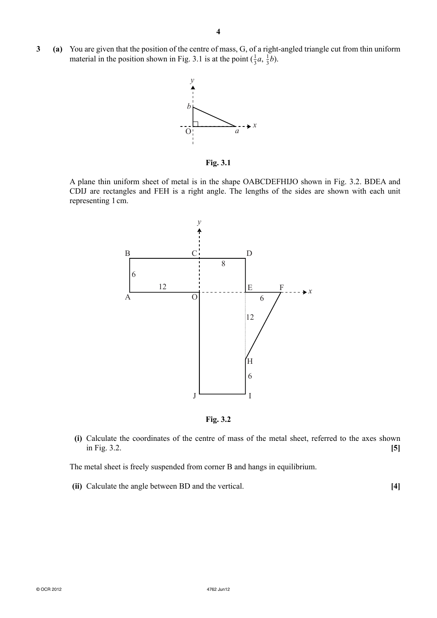**3 (a)** You are given that the position of the centre of mass, G, of a right-angled triangle cut from thin uniform material in the position shown in Fig. 3.1 is at the point  $(\frac{1}{3}a, \frac{1}{3}b)$ .



**Fig. 3.1**

A plane thin uniform sheet of metal is in the shape OABCDEFHIJO shown in Fig. 3.2. BDEA and CDIJ are rectangles and FEH is a right angle. The lengths of the sides are shown with each unit representing 1 cm.





 **(i)** Calculate the coordinates of the centre of mass of the metal sheet, referred to the axes shown in Fig. 3.2. **[5]**

The metal sheet is freely suspended from corner B and hangs in equilibrium.

 **(ii)** Calculate the angle between BD and the vertical. **[4]**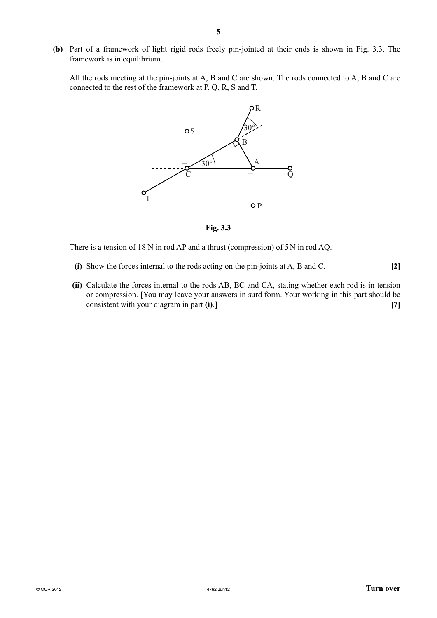**(b)** Part of a framework of light rigid rods freely pin-jointed at their ends is shown in Fig. 3.3. The framework is in equilibrium.

All the rods meeting at the pin-joints at A, B and C are shown. The rods connected to A, B and C are connected to the rest of the framework at P, Q, R, S and T.



**Fig. 3.3**

There is a tension of 18 N in rod AP and a thrust (compression) of 5 N in rod AQ.

- **(i)** Show the forces internal to the rods acting on the pin-joints at A, B and C. **[2]**
- **(ii)** Calculate the forces internal to the rods AB, BC and CA, stating whether each rod is in tension or compression. [You may leave your answers in surd form. Your working in this part should be consistent with your diagram in part **(i)**.] **[7]**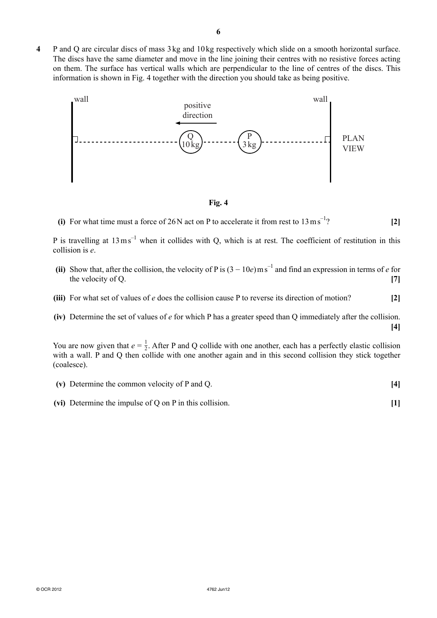**4** P and Q are circular discs of mass 3 kg and 10 kg respectively which slide on a smooth horizontal surface. The discs have the same diameter and move in the line joining their centres with no resistive forces acting on them. The surface has vertical walls which are perpendicular to the line of centres of the discs. This information is shown in Fig. 4 together with the direction you should take as being positive.



**Fig. 4**

**(i)** For what time must a force of 26 N act on P to accelerate it from rest to  $13 \text{ ms}^{-1}$ ?

P is travelling at  $13 \text{ m s}^{-1}$  when it collides with Q, which is at rest. The coefficient of restitution in this collision is *e*.

- **(ii)** Show that, after the collision, the velocity of P is  $(3 10e)$  m s<sup>-1</sup> and find an expression in terms of *e* for the velocity of Q. **[7]**
- **(iii)** For what set of values of *e* does the collision cause P to reverse its direction of motion? **[2]**
- **(iv)** Determine the set of values of *e* for which P has a greater speed than Q immediately after the collision. **[4]**

You are now given that  $e = \frac{1}{2}$ . After P and Q collide with one another, each has a perfectly elastic collision with a wall. P and Q then collide with one another again and in this second collision they stick together (coalesce).

- **(v)** Determine the common velocity of P and Q. **[4]**
- **(vi)** Determine the impulse of Q on P in this collision. **[1]**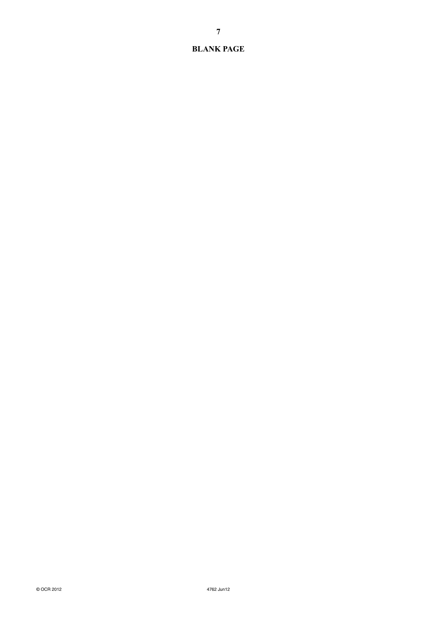#### **BLANK PAGE**